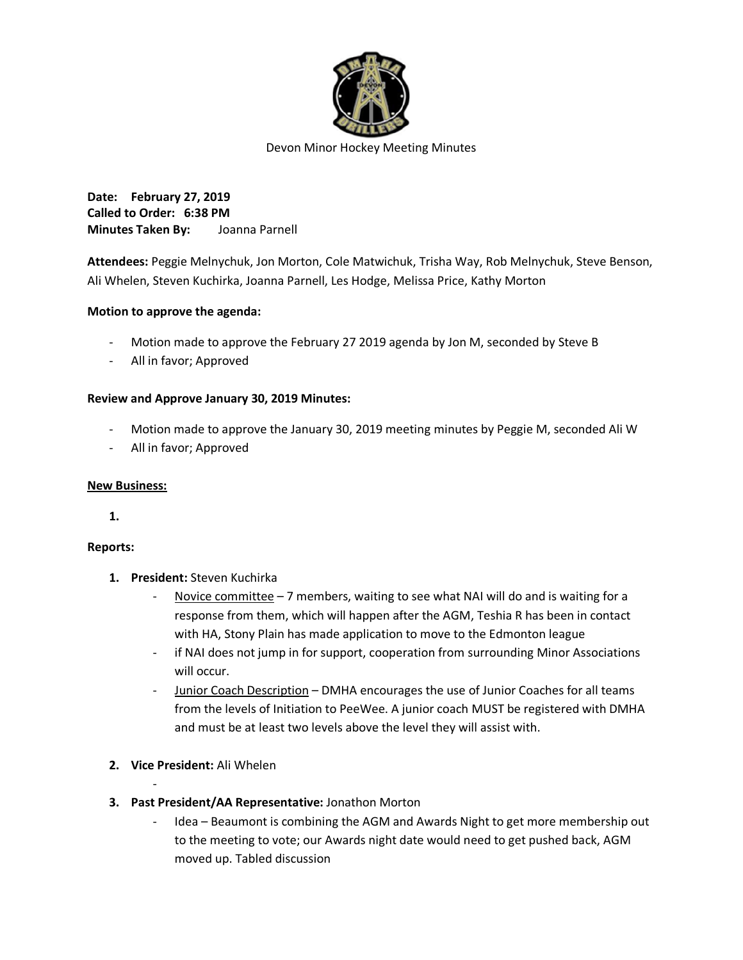

Devon Minor Hockey Meeting Minutes

**Date: February 27, 2019 Called to Order: 6:38 PM Minutes Taken By:** Joanna Parnell

**Attendees:** Peggie Melnychuk, Jon Morton, Cole Matwichuk, Trisha Way, Rob Melnychuk, Steve Benson, Ali Whelen, Steven Kuchirka, Joanna Parnell, Les Hodge, Melissa Price, Kathy Morton

## **Motion to approve the agenda:**

- Motion made to approve the February 27 2019 agenda by Jon M, seconded by Steve B
- All in favor; Approved

### **Review and Approve January 30, 2019 Minutes:**

- Motion made to approve the January 30, 2019 meeting minutes by Peggie M, seconded Ali W
- All in favor; Approved

### **New Business:**

**1.**

### **Reports:**

- **1. President:** Steven Kuchirka
	- Novice committee 7 members, waiting to see what NAI will do and is waiting for a response from them, which will happen after the AGM, Teshia R has been in contact with HA, Stony Plain has made application to move to the Edmonton league
	- if NAI does not jump in for support, cooperation from surrounding Minor Associations will occur.
	- Junior Coach Description DMHA encourages the use of Junior Coaches for all teams from the levels of Initiation to PeeWee. A junior coach MUST be registered with DMHA and must be at least two levels above the level they will assist with.
- **2. Vice President:** Ali Whelen

-

- **3. Past President/AA Representative:** Jonathon Morton
	- Idea Beaumont is combining the AGM and Awards Night to get more membership out to the meeting to vote; our Awards night date would need to get pushed back, AGM moved up. Tabled discussion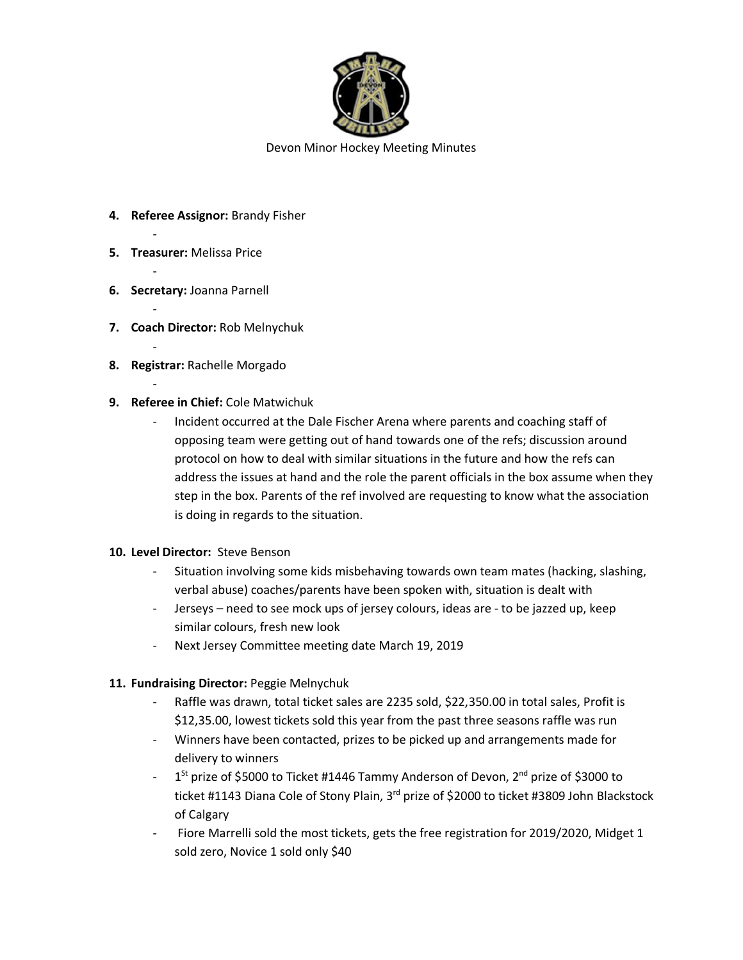

Devon Minor Hockey Meeting Minutes

- **4. Referee Assignor:** Brandy Fisher
- **5. Treasurer:** Melissa Price

-

-

-

-

-

- **6. Secretary:** Joanna Parnell
- **7. Coach Director:** Rob Melnychuk
- **8. Registrar:** Rachelle Morgado
- **9. Referee in Chief:** Cole Matwichuk
	- Incident occurred at the Dale Fischer Arena where parents and coaching staff of opposing team were getting out of hand towards one of the refs; discussion around protocol on how to deal with similar situations in the future and how the refs can address the issues at hand and the role the parent officials in the box assume when they step in the box. Parents of the ref involved are requesting to know what the association is doing in regards to the situation.

### **10. Level Director:** Steve Benson

- Situation involving some kids misbehaving towards own team mates (hacking, slashing, verbal abuse) coaches/parents have been spoken with, situation is dealt with
- Jerseys need to see mock ups of jersey colours, ideas are to be jazzed up, keep similar colours, fresh new look
- Next Jersey Committee meeting date March 19, 2019

# **11. Fundraising Director:** Peggie Melnychuk

- Raffle was drawn, total ticket sales are 2235 sold, \$22,350.00 in total sales, Profit is \$12,35.00, lowest tickets sold this year from the past three seasons raffle was run
- Winners have been contacted, prizes to be picked up and arrangements made for delivery to winners
- $-1$ <sup>St</sup> prize of \$5000 to Ticket #1446 Tammy Anderson of Devon, 2<sup>nd</sup> prize of \$3000 to ticket #1143 Diana Cole of Stony Plain, 3<sup>rd</sup> prize of \$2000 to ticket #3809 John Blackstock of Calgary
- Fiore Marrelli sold the most tickets, gets the free registration for 2019/2020, Midget 1 sold zero, Novice 1 sold only \$40